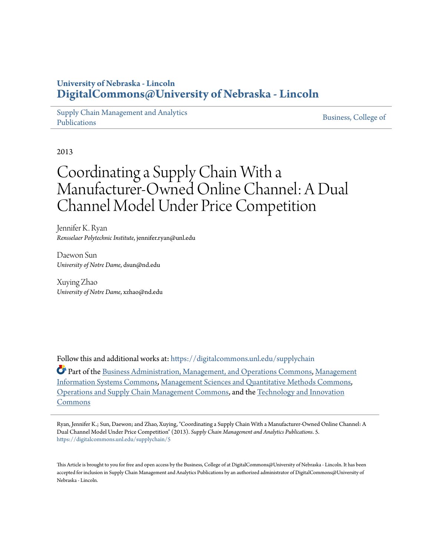# **University of Nebraska - Lincoln [DigitalCommons@University of Nebraska - Lincoln](https://digitalcommons.unl.edu/?utm_source=digitalcommons.unl.edu%2Fsupplychain%2F5&utm_medium=PDF&utm_campaign=PDFCoverPages)**

[Supply Chain Management and Analytics](https://digitalcommons.unl.edu/supplychain?utm_source=digitalcommons.unl.edu%2Fsupplychain%2F5&utm_medium=PDF&utm_campaign=PDFCoverPages) [Publications](https://digitalcommons.unl.edu/supplychain?utm_source=digitalcommons.unl.edu%2Fsupplychain%2F5&utm_medium=PDF&utm_campaign=PDFCoverPages)

[Business, College of](https://digitalcommons.unl.edu/business?utm_source=digitalcommons.unl.edu%2Fsupplychain%2F5&utm_medium=PDF&utm_campaign=PDFCoverPages)

2013

# Coordinating a Supply Chain With a Manufacturer-Owned Online Channel: A Dual Channel Model Under Price Competition

Jennifer K. Ryan *Rensselaer Polytechnic Institute*, jennifer.ryan@unl.edu

Daewon Sun *University of Notre Dame*, dsun@nd.edu

Xuying Zhao *University of Notre Dame*, xzhao@nd.edu

Follow this and additional works at: [https://digitalcommons.unl.edu/supplychain](https://digitalcommons.unl.edu/supplychain?utm_source=digitalcommons.unl.edu%2Fsupplychain%2F5&utm_medium=PDF&utm_campaign=PDFCoverPages)

Part of the [Business Administration, Management, and Operations Commons](http://network.bepress.com/hgg/discipline/623?utm_source=digitalcommons.unl.edu%2Fsupplychain%2F5&utm_medium=PDF&utm_campaign=PDFCoverPages), [Management](http://network.bepress.com/hgg/discipline/636?utm_source=digitalcommons.unl.edu%2Fsupplychain%2F5&utm_medium=PDF&utm_campaign=PDFCoverPages) [Information Systems Commons](http://network.bepress.com/hgg/discipline/636?utm_source=digitalcommons.unl.edu%2Fsupplychain%2F5&utm_medium=PDF&utm_campaign=PDFCoverPages), [Management Sciences and Quantitative Methods Commons,](http://network.bepress.com/hgg/discipline/637?utm_source=digitalcommons.unl.edu%2Fsupplychain%2F5&utm_medium=PDF&utm_campaign=PDFCoverPages) [Operations and Supply Chain Management Commons,](http://network.bepress.com/hgg/discipline/1229?utm_source=digitalcommons.unl.edu%2Fsupplychain%2F5&utm_medium=PDF&utm_campaign=PDFCoverPages) and the [Technology and Innovation](http://network.bepress.com/hgg/discipline/644?utm_source=digitalcommons.unl.edu%2Fsupplychain%2F5&utm_medium=PDF&utm_campaign=PDFCoverPages) [Commons](http://network.bepress.com/hgg/discipline/644?utm_source=digitalcommons.unl.edu%2Fsupplychain%2F5&utm_medium=PDF&utm_campaign=PDFCoverPages)

Ryan, Jennifer K.; Sun, Daewon; and Zhao, Xuying, "Coordinating a Supply Chain With a Manufacturer-Owned Online Channel: A Dual Channel Model Under Price Competition" (2013). *Supply Chain Management and Analytics Publications*. 5. [https://digitalcommons.unl.edu/supplychain/5](https://digitalcommons.unl.edu/supplychain/5?utm_source=digitalcommons.unl.edu%2Fsupplychain%2F5&utm_medium=PDF&utm_campaign=PDFCoverPages)

This Article is brought to you for free and open access by the Business, College of at DigitalCommons@University of Nebraska - Lincoln. It has been accepted for inclusion in Supply Chain Management and Analytics Publications by an authorized administrator of DigitalCommons@University of Nebraska - Lincoln.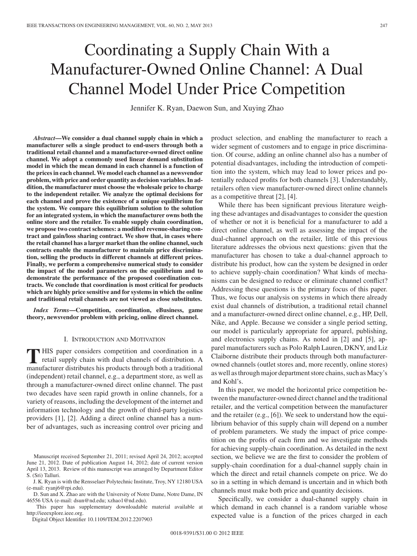# Coordinating a Supply Chain With a Manufacturer-Owned Online Channel: A Dual Channel Model Under Price Competition

Jennifer K. Ryan, Daewon Sun, and Xuying Zhao

*Abstract***—We consider a dual channel supply chain in which a manufacturer sells a single product to end-users through both a traditional retail channel and a manufacturer-owned direct online channel. We adopt a commonly used linear demand substitution model in which the mean demand in each channel is a function of the prices in each channel. We model each channel as a newsvendor problem, with price and order quantity as decision variables. In addition, the manufacturer must choose the wholesale price to charge to the independent retailer. We analyze the optimal decisions for each channel and prove the existence of a unique equilibrium for the system. We compare this equilibrium solution to the solution for an integrated system, in which the manufacturer owns both the online store and the retailer. To enable supply chain coordination, we propose two contract schemes: a modified revenue-sharing contract and gain/loss sharing contract. We show that, in cases where the retail channel has a larger market than the online channel, such contracts enable the manufacturer to maintain price discrimination, selling the products in different channels at different prices. Finally, we perform a comprehensive numerical study to consider the impact of the model parameters on the equilibrium and to demonstrate the performance of the proposed coordination contracts. We conclude that coordination is most critical for products which are highly price sensitive and for systems in which the online and traditional retail channels are not viewed as close substitutes.**

*Index Terms***—Competition, coordination, eBusiness, game theory, newsvendor problem with pricing, online direct channel.**

# I. INTRODUCTION AND MOTIVATION

**T** HIS paper considers competition and coordination in a retail supply chain with dual channels of distribution. A manufacturer distributes his products through both a traditional manufacturer distributes his products through both a traditional (independent) retail channel, e.g., a department store, as well as through a manufacturer-owned direct online channel. The past two decades have seen rapid growth in online channels, for a variety of reasons, including the development of the internet and information technology and the growth of third-party logistics providers [1], [2]. Adding a direct online channel has a number of advantages, such as increasing control over pricing and

J. K. Ryan is with the Rensselaer Polytechnic Institute, Troy, NY 12180 USA (e-mail: ryanj6@rpi.edu).

D. Sun and X. Zhao are with the University of Notre Dame, Notre Dame, IN 46556 USA (e-mail: dsun@nd.edu; xzhao1@nd.edu).

This paper has supplementary downloadable material available at http://ieeexplore.ieee.org.

Digital Object Identifier 10.1109/TEM.2012.2207903

product selection, and enabling the manufacturer to reach a wider segment of customers and to engage in price discrimination. Of course, adding an online channel also has a number of potential disadvantages, including the introduction of competition into the system, which may lead to lower prices and potentially reduced profits for both channels [3]. Understandably, retailers often view manufacturer-owned direct online channels as a competitive threat [2], [4].

While there has been significant previous literature weighing these advantages and disadvantages to consider the question of whether or not it is beneficial for a manufacturer to add a direct online channel, as well as assessing the impact of the dual-channel approach on the retailer, little of this previous literature addresses the obvious next questions: given that the manufacturer has chosen to take a dual-channel approach to distribute his product, how can the system be designed in order to achieve supply-chain coordination? What kinds of mechanisms can be designed to reduce or eliminate channel conflict? Addressing these questions is the primary focus of this paper. Thus, we focus our analysis on systems in which there already exist dual channels of distribution, a traditional retail channel and a manufacturer-owned direct online channel, e.g., HP, Dell, Nike, and Apple. Because we consider a single period setting, our model is particularly appropriate for apparel, publishing, and electronics supply chains. As noted in [2] and [5], apparel manufacturers such as Polo Ralph Lauren, DKNY, and Liz Claiborne distribute their products through both manufacturerowned channels (outlet stores and, more recently, online stores) as well as through major department store chains, such as Macy's and Kohl's.

In this paper, we model the horizontal price competition between the manufacturer-owned direct channel and the traditional retailer, and the vertical competition between the manufacturer and the retailer (e.g., [6]). We seek to understand how the equilibrium behavior of this supply chain will depend on a number of problem parameters. We study the impact of price competition on the profits of each firm and we investigate methods for achieving supply-chain coordination. As detailed in the next section, we believe we are the first to consider the problem of supply-chain coordination for a dual-channel supply chain in which the direct and retail channels compete on price. We do so in a setting in which demand is uncertain and in which both channels must make both price and quantity decisions.

Specifically, we consider a dual-channel supply chain in which demand in each channel is a random variable whose expected value is a function of the prices charged in each

Manuscript received September 21, 2011; revised April 24, 2012; accepted June 21, 2012. Date of publication August 14, 2012; date of current version April 13, 2013. Review of this manuscript was arranged by Department Editor S. (Sri) Talluri.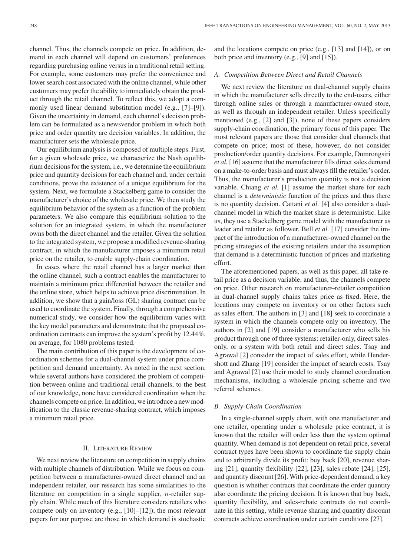channel. Thus, the channels compete on price. In addition, demand in each channel will depend on customers' preferences regarding purchasing online versus in a traditional retail setting. For example, some customers may prefer the convenience and lower search cost associated with the online channel, while other customers may prefer the ability to immediately obtain the product through the retail channel. To reflect this, we adopt a commonly used linear demand substitution model (e.g., [7]–[9]). Given the uncertainty in demand, each channel's decision problem can be formulated as a newsvendor problem in which both price and order quantity are decision variables. In addition, the manufacturer sets the wholesale price.

Our equilibrium analysis is composed of multiple steps. First, for a given wholesale price, we characterize the Nash equilibrium decisions for the system, i.e., we determine the equilibrium price and quantity decisions for each channel and, under certain conditions, prove the existence of a unique equilibrium for the system. Next, we formulate a Stackelberg game to consider the manufacturer's choice of the wholesale price. We then study the equilibrium behavior of the system as a function of the problem parameters. We also compare this equilibrium solution to the solution for an integrated system, in which the manufacturer owns both the direct channel and the retailer. Given the solution to the integrated system, we propose a modified revenue-sharing contract, in which the manufacturer imposes a minimum retail price on the retailer, to enable supply-chain coordination.

In cases where the retail channel has a larger market than the online channel, such a contract enables the manufacturer to maintain a minimum price differential between the retailer and the online store, which helps to achieve price discrimination. In addition, we show that a gain/loss (GL) sharing contract can be used to coordinate the system. Finally, through a comprehensive numerical study, we consider how the equilibrium varies with the key model parameters and demonstrate that the proposed coordination contracts can improve the system's profit by 12.44%, on average, for 1080 problems tested.

The main contribution of this paper is the development of coordination schemes for a dual-channel system under price competition and demand uncertainty. As noted in the next section, while several authors have considered the problem of competition between online and traditional retail channels, to the best of our knowledge, none have considered coordination when the channels compete on price. In addition, we introduce a new modification to the classic revenue-sharing contract, which imposes a minimum retail price.

# II. LITERATURE REVIEW

We next review the literature on competition in supply chains with multiple channels of distribution. While we focus on competition between a manufacturer-owned direct channel and an independent retailer, our research has some similarities to the literature on competition in a single supplier, *n*-retailer supply chain. While much of this literature considers retailers who compete only on inventory (e.g., [10]–[12]), the most relevant papers for our purpose are those in which demand is stochastic

and the locations compete on price (e.g., [13] and [14]), or on both price and inventory (e.g., [9] and [15]).

## *A. Competition Between Direct and Retail Channels*

We next review the literature on dual-channel supply chains in which the manufacturer sells directly to the end-users, either through online sales or through a manufacturer-owned store, as well as through an independent retailer. Unless specifically mentioned (e.g., [2] and [3]), none of these papers considers supply-chain coordination, the primary focus of this paper. The most relevant papers are those that consider dual channels that compete on price; most of these, however, do not consider production/order quantity decisions. For example, Dumrongsiri *et al.* [16] assume that the manufacturer fills direct sales demand on a make-to-order basis and must always fill the retailer's order. Thus, the manufacturer's production quantity is not a decision variable. Chiang *et al.* [1] assume the market share for each channel is a *deterministic* function of the prices and thus there is no quantity decision. Cattani *et al.* [4] also consider a dualchannel model in which the market share is deterministic. Like us, they use a Stackelberg game model with the manufacturer as leader and retailer as follower. Bell *et al.* [17] consider the impact of the introduction of a manufacturer-owned channel on the pricing strategies of the existing retailers under the assumption that demand is a deterministic function of prices and marketing effort.

The aforementioned papers, as well as this paper, all take retail price as a decision variable, and thus, the channels compete on price. Other research on manufacturer–retailer competition in dual-channel supply chains takes price as fixed. Here, the locations may compete on inventory or on other factors such as sales effort. The authors in [3] and [18] seek to coordinate a system in which the channels compete only on inventory. The authors in [2] and [19] consider a manufacturer who sells his product through one of three systems: retailer-only, direct salesonly, or a system with both retail and direct sales. Tsay and Agrawal [2] consider the impact of sales effort, while Hendershott and Zhang [19] consider the impact of search costs. Tsay and Agrawal [2] use their model to study channel coordination mechanisms, including a wholesale pricing scheme and two referral schemes.

#### *B. Supply-Chain Coordination*

In a single-channel supply chain, with one manufacturer and one retailer, operating under a wholesale price contract, it is known that the retailer will order less than the system optimal quantity. When demand is not dependent on retail price, several contract types have been shown to coordinate the supply chain and to arbitrarily divide its profit: buy back [20], revenue sharing [21], quantity flexibility [22], [23], sales rebate [24], [25], and quantity discount [26]. With price-dependent demand, a key question is whether contracts that coordinate the order quantity also coordinate the pricing decision. It is known that buy back, quantity flexibility, and sales-rebate contracts do not coordinate in this setting, while revenue sharing and quantity discount contracts achieve coordination under certain conditions [27].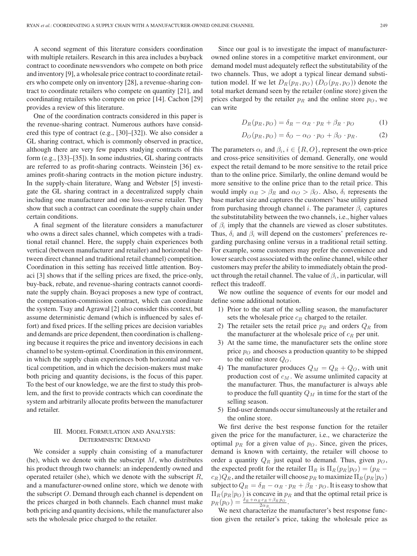A second segment of this literature considers coordination with multiple retailers. Research in this area includes a buyback contract to coordinate newsvendors who compete on both price and inventory [9], a wholesale price contract to coordinate retailers who compete only on inventory [28], a revenue-sharing contract to coordinate retailers who compete on quantity [21], and coordinating retailers who compete on price [14]. Cachon [29] provides a review of this literature.

One of the coordination contracts considered in this paper is the revenue-sharing contract. Numerous authors have considered this type of contract (e.g., [30]–[32]). We also consider a GL sharing contract, which is commonly observed in practice, although there are very few papers studying contracts of this form (e.g., [33]–[35]). In some industries, GL sharing contracts are referred to as profit-sharing contracts. Weinstein [36] examines profit-sharing contracts in the motion picture industry. In the supply-chain literature, Wang and Webster [5] investigate the GL sharing contract in a decentralized supply chain including one manufacturer and one loss-averse retailer. They show that such a contract can coordinate the supply chain under certain conditions.

A final segment of the literature considers a manufacturer who owns a direct sales channel, which competes with a traditional retail channel. Here, the supply chain experiences both vertical (between manufacturer and retailer) and horizontal (between direct channel and traditional retail channel) competition. Coordination in this setting has received little attention. Boyaci [3] shows that if the selling prices are fixed, the price-only, buy-back, rebate, and revenue-sharing contracts cannot coordinate the supply chain. Boyaci proposes a new type of contract, the compensation-commission contract, which can coordinate the system. Tsay and Agrawal [2] also consider this context, but assume deterministic demand (which is influenced by sales effort) and fixed prices. If the selling prices are decision variables and demands are price dependent, then coordination is challenging because it requires the price and inventory decisions in each channel to be system-optimal. Coordination in this environment, in which the supply chain experiences both horizontal and vertical competition, and in which the decision-makers must make both pricing and quantity decisions, is the focus of this paper. To the best of our knowledge, we are the first to study this problem, and the first to provide contracts which can coordinate the system and arbitrarily allocate profits between the manufacturer and retailer.

# III. MODEL FORMULATION AND ANALYSIS: DETERMINISTIC DEMAND

We consider a supply chain consisting of a manufacturer (he), which we denote with the subscript  $M$ , who distributes his product through two channels: an independently owned and operated retailer (she), which we denote with the subscript  $R$ , and a manufacturer-owned online store, which we denote with the subscript O. Demand through each channel is dependent on the prices charged in both channels. Each channel must make both pricing and quantity decisions, while the manufacturer also sets the wholesale price charged to the retailer.

Since our goal is to investigate the impact of manufacturerowned online stores in a competitive market environment, our demand model must adequately reflect the substitutability of the two channels. Thus, we adopt a typical linear demand substitution model. If we let  $D_R(p_R, p_O)$  ( $D_O(p_R, p_O)$ ) denote the total market demand seen by the retailer (online store) given the prices charged by the retailer  $p_R$  and the online store  $p_Q$ , we can write

$$
D_R(p_R, p_O) = \delta_R - \alpha_R \cdot p_R + \beta_R \cdot p_O \tag{1}
$$

$$
D_O(p_R, p_O) = \delta_O - \alpha_O \cdot p_O + \beta_O \cdot p_R. \tag{2}
$$

The parameters  $\alpha_i$  and  $\beta_i$ ,  $i \in \{R, O\}$ , represent the own-price and cross-price sensitivities of demand. Generally, one would expect the retail demand to be more sensitive to the retail price than to the online price. Similarly, the online demand would be more sensitive to the online price than to the retail price. This would imply  $\alpha_R > \beta_R$  and  $\alpha_O > \beta_O$ . Also,  $\delta_i$  represents the base market size and captures the customers' base utility gained from purchasing through channel *i*. The parameter  $\beta_i$  captures the substitutability between the two channels, i.e., higher values of  $\beta_i$  imply that the channels are viewed as closer substitutes. Thus,  $\delta_i$  and  $\beta_i$  will depend on the customers' preferences regarding purchasing online versus in a traditional retail setting. For example, some customers may prefer the convenience and lower search cost associated with the online channel, while other customers may prefer the ability to immediately obtain the product through the retail channel. The value of  $\beta_i$ , in particular, will reflect this tradeoff.

We now outline the sequence of events for our model and define some additional notation.

- 1) Prior to the start of the selling season, the manufacturer sets the wholesale price  $c_R$  charged to the retailer.
- 2) The retailer sets the retail price  $p<sub>R</sub>$  and orders  $Q<sub>R</sub>$  from the manufacturer at the wholesale price of  $c_R$  per unit.
- 3) At the same time, the manufacturer sets the online store price  $p<sub>O</sub>$  and chooses a production quantity to be shipped to the online store  $Q_O$ .
- 4) The manufacturer produces  $Q_M = Q_R + Q_O$ , with unit production cost of  $c_M$ . We assume unlimited capacity at the manufacturer. Thus, the manufacturer is always able to produce the full quantity  $Q_M$  in time for the start of the selling season.
- 5) End-user demands occur simultaneously at the retailer and the online store.

We first derive the best response function for the retailer given the price for the manufacturer, i.e., we characterize the optimal  $p_R$  for a given value of  $p_O$ . Since, given the prices, demand is known with certainty, the retailer will choose to order a quantity  $Q_R$  just equal to demand. Thus, given  $p_Q$ , the expected profit for the retailer  $\Pi_R$  is  $\Pi_R(p_R | p_O) = (p_R$  $c_R$ ) $Q_R$ , and the retailer will choose  $p_R$  to maximize  $\Pi_R(p_R|p_O)$ subject to  $Q_R = \delta_R - \alpha_R \cdot p_R + \beta_R \cdot p_O$ . It is easy to show that  $\Pi_R(p_R | p_O)$  is concave in  $p_R$  and that the optimal retail price is  $p_R(p_O) = \frac{\delta_R + \alpha_R c_R + \beta_R p_O}{2\alpha_R}.$ 

We next characterize the manufacturer's best response function given the retailer's price, taking the wholesale price as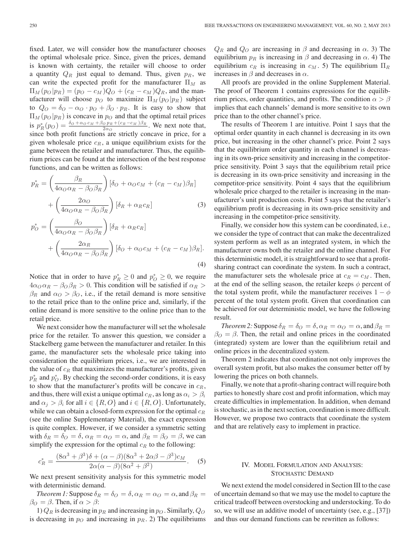fixed. Later, we will consider how the manufacturer chooses the optimal wholesale price. Since, given the prices, demand is known with certainty, the retailer will choose to order a quantity  $Q_R$  just equal to demand. Thus, given  $p_R$ , we can write the expected profit for the manufacturer  $\Pi_M$  as  $\Pi_M(p_O|p_R) = (p_O - c_M)Q_O + (c_R - c_M)Q_R$ , and the manufacturer will choose  $p_O$  to maximize  $\Pi_M(p_O | p_R)$  subject to  $Q_O = \delta_O - \alpha_O \cdot p_O + \beta_O \cdot p_R$ . It is easy to show that  $\Pi_M(p_O | p_R)$  is concave in  $p_O$  and that the optimal retail prices is  $p_R^*(p_O) = \frac{\delta_O + \alpha_O c_M + \beta_O p_R + (c_R - c_M)\beta_R}{2\alpha_O}$ . We next note that, since both profit functions are strictly concave in price, for a given wholesale price  $c_R$ , a unique equilibrium exists for the game between the retailer and manufacturer. Thus, the equilibrium prices can be found at the intersection of the best response functions, and can be written as follows:

$$
p_R^* = \left(\frac{\beta_R}{4\alpha_O \alpha_R - \beta_O \beta_R}\right) [\delta_O + \alpha_O c_M + (c_R - c_M)\beta_R]
$$

$$
+ \left(\frac{2\alpha_O}{4\alpha_O \alpha_R - \beta_O \beta_R}\right) [\delta_R + \alpha_R c_R]
$$
(3)  

$$
p_O^* = \left(\frac{\beta_O}{4\alpha_O \alpha_R - \beta_O \beta_R}\right) [\delta_R + \alpha_R c_R]
$$

$$
+ \left(\frac{2\alpha_R}{4\alpha_O \alpha_R - \beta_O \beta_R}\right) [\delta_O + \alpha_O c_M + (c_R - c_M)\beta_R].
$$
(4)

Notice that in order to have  $p_R^* \geq 0$  and  $p_O^* \geq 0$ , we require  $4\alpha_0 \alpha_R - \beta_0 \beta_R > 0$ . This condition will be satisfied if  $\alpha_R >$  $\beta_R$  and  $\alpha_O > \beta_O$ , i.e., if the retail demand is more sensitive to the retail price than to the online price and, similarly, if the online demand is more sensitive to the online price than to the retail price.

We next consider how the manufacturer will set the wholesale price for the retailer. To answer this question, we consider a Stackelberg game between the manufacturer and retailer. In this game, the manufacturer sets the wholesale price taking into consideration the equilibrium prices, i.e., we are interested in the value of  $c_R$  that maximizes the manufacturer's profits, given  $p_R^*$  and  $p_O^*$ . By checking the second-order conditions, it is easy to show that the manufacturer's profits will be concave in  $c_R$ , and thus, there will exist a unique optimal  $c_R$ , as long as  $\alpha_i > \beta_i$ and  $\alpha_i > \beta_i$  for all  $i \in \{R, O\}$  and  $i \in \{R, O\}$ . Unfortunately, while we can obtain a closed-form expression for the optimal  $c_R$ (see the online Supplementary Material), the exact expression is quite complex. However, if we consider a symmetric setting with  $\delta_R = \delta_Q = \delta$ ,  $\alpha_R = \alpha_Q = \alpha$ , and  $\beta_R = \beta_Q = \beta$ , we can simplify the expression for the optimal  $c_R$  to the following:

$$
c_R^* = \frac{(8\alpha^3 + \beta^3)\delta + (\alpha - \beta)(8\alpha^3 + 2\alpha\beta - \beta^3)c_M}{2\alpha(\alpha - \beta)(8\alpha^2 + \beta^2)}.
$$
 (5)

We next present sensitivity analysis for this symmetric model with deterministic demand.

*Theorem 1:* Suppose  $\delta_R = \delta_Q = \delta$ ,  $\alpha_R = \alpha_Q = \alpha$ , and  $\beta_R =$  $\beta_O = \beta$ . Then, if  $\alpha > \beta$ :

1)  $Q_R$  is decreasing in  $p_R$  and increasing in  $p_Q$ . Similarly,  $Q_Q$ is decreasing in  $p<sub>O</sub>$  and increasing in  $p<sub>R</sub>$ . 2) The equilibriums  $Q_R$  and  $Q_O$  are increasing in  $\beta$  and decreasing in  $\alpha$ . 3) The equilibrium  $p_R$  is increasing in  $\beta$  and decreasing in  $\alpha$ . 4) The equilibrium  $c_R$  is increasing in  $c_M$ . 5) The equilibrium  $\Pi_R$ increases in  $\beta$  and decreases in  $\alpha$ .

All proofs are provided in the online Supplement Material. The proof of Theorem 1 contains expressions for the equilibrium prices, order quantities, and profits. The condition  $\alpha > \beta$ implies that each channels' demand is more sensitive to its own price than to the other channel's price.

The results of Theorem 1 are intuitive. Point 1 says that the optimal order quantity in each channel is decreasing in its own price, but increasing in the other channel's price. Point 2 says that the equilibrium order quantity in each channel is decreasing in its own-price sensitivity and increasing in the competitorprice sensitivity. Point 3 says that the equilibrium retail price is decreasing in its own-price sensitivity and increasing in the competitor-price sensitivity. Point 4 says that the equilibrium wholesale price charged to the retailer is increasing in the manufacturer's unit production costs. Point 5 says that the retailer's equilibrium profit is decreasing in its own-price sensitivity and increasing in the competitor-price sensitivity.

Finally, we consider how this system can be coordinated, i.e., we consider the type of contract that can make the decentralized system perform as well as an integrated system, in which the manufacturer owns both the retailer and the online channel. For this deterministic model, it is straightforward to see that a profitsharing contract can coordinate the system. In such a contract, the manufacturer sets the wholesale price at  $c_R = c_M$ . Then, at the end of the selling season, the retailer keeps  $\phi$  percent of the total system profit, while the manufacturer receives  $1 - \phi$ percent of the total system profit. Given that coordination can be achieved for our deterministic model, we have the following result.

*Theorem 2:* Suppose  $\delta_R = \delta_O = \delta$ ,  $\alpha_R = \alpha_O = \alpha$ , and  $\beta_R =$  $\beta$ <sub>O</sub> =  $\beta$ . Then, the retail and online prices in the coordinated (integrated) system are lower than the equilibrium retail and online prices in the decentralized system.

Theorem 2 indicates that coordination not only improves the overall system profit, but also makes the consumer better off by lowering the prices on both channels.

Finally, we note that a profit-sharing contract will require both parties to honestly share cost and profit information, which may create difficulties in implementation. In addition, when demand is stochastic, as in the next section, coordination is more difficult. However, we propose two contracts that coordinate the system and that are relatively easy to implement in practice.

# IV. MODEL FORMULATION AND ANALYSIS: STOCHASTIC DEMAND

We next extend the model considered in Section III to the case of uncertain demand so that we may use the model to capture the critical tradeoff between overstocking and understocking. To do so, we will use an additive model of uncertainty (see, e.g., [37]) and thus our demand functions can be rewritten as follows: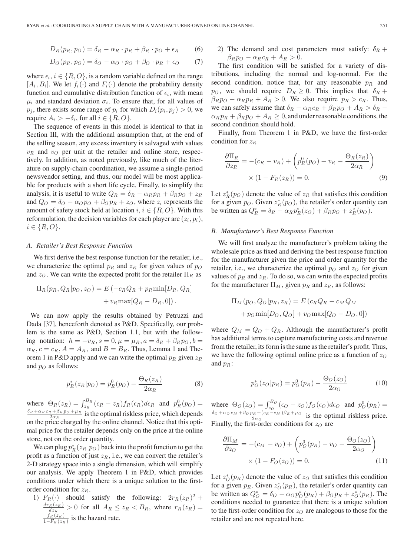$$
D_R(p_R, p_O) = \delta_R - \alpha_R \cdot p_R + \beta_R \cdot p_O + \epsilon_R \tag{6}
$$

$$
D_O(p_R, p_O) = \delta_O - \alpha_O \cdot p_O + \beta_O \cdot p_R + \epsilon_O \tag{7}
$$

where  $\epsilon_i$ ,  $i \in \{R, O\}$ , is a random variable defined on the range  $[A_i, B_i]$ . We let  $f_i(\cdot)$  and  $F_i(\cdot)$  denote the probability density function and cumulative distribution function of  $\epsilon_i$ , with mean  $\mu_i$  and standard deviation  $\sigma_i$ . To ensure that, for all values of  $p_i$ , there exists some range of  $p_i$  for which  $D_i(p_i, p_j) > 0$ , we require  $A_i > -\delta_i$ , for all  $i \in \{R, O\}$ .

The sequence of events in this model is identical to that in Section III, with the additional assumption that, at the end of the selling season, any excess inventory is salvaged with values  $v_R$  and  $v_Q$  per unit at the retailer and online store, respectively. In addition, as noted previously, like much of the literature on supply-chain coordination, we assume a single-period newsvendor setting, and thus, our model will be most applicable for products with a short life cycle. Finally, to simplify the analysis, it is useful to write  $Q_R = \delta_R - \alpha_R p_R + \beta_R p_O + z_R$ and  $Q_O = \delta_O - \alpha_O p_O + \beta_O p_R + z_O$ , where  $z_i$  represents the amount of safety stock held at location  $i, i \in \{R, O\}$ . With this reformulation, the decision variables for each player are  $(z_i, p_i)$ ,  $i \in \{R, O\}.$ 

### *A. Retailer's Best Response Function*

We first derive the best response function for the retailer, i.e., we characterize the optimal  $p_R$  and  $z_R$  for given values of  $p_Q$ and  $z<sub>O</sub>$ . We can write the expected profit for the retailer  $\Pi_R$  as

$$
\Pi_R(p_R, Q_R | p_O, z_O) = E(-c_R Q_R + p_R \min[D_R, Q_R]
$$

$$
+ v_R \max[Q_R - D_R, 0]).
$$

We can now apply the results obtained by Petruzzi and Dada [37], henceforth denoted as P&D. Specifically, our problem is the same as P&D, Section 1.1, but with the following notation:  $h = -v_R$ ,  $s = 0$ ,  $\mu = \mu_R$ ,  $a = \delta_R + \beta_R p_O$ ,  $b =$  $\alpha_R$ ,  $c = c_R$ ,  $A = A_R$ , and  $B = B_R$ . Thus, Lemma 1 and Theorem 1 in P&D apply and we can write the optimal  $p_R$  given  $z_R$ and  $p<sub>O</sub>$  as follows:

$$
p_R^*(z_R|p_O) = p_R^0(p_O) - \frac{\Theta_R(z_R)}{2\alpha_R}
$$
 (8)

where  $\Theta_R(z_R) = \int_{z_R}^{B_R} (\epsilon_R - z_R) f_R(\epsilon_R) d\epsilon_R$  and  $p_R^0(p_O) =$  $\frac{\delta_R + \alpha_R c_R + \beta_R p_O + \mu_R}{2\alpha_R}$  is the optimal riskless price, which depends on the price charged by the online channel. Notice that this optimal price for the retailer depends only on the price at the online store, not on the order quantity.

We can plug  $p_R^*(z_R | p_O)$  back into the profit function to get the profit as a function of just  $z_R$ , i.e., we can convert the retailer's 2-D strategy space into a single dimension, which will simplify our analysis. We apply Theorem 1 in P&D, which provides conditions under which there is a unique solution to the firstorder condition for  $z_R$ .

1)  $F_R(\cdot)$  should satisfy the following:  $2r_R(z_R)^2 +$  $\frac{dr_R(z_R)}{dz_R} > 0$  for all  $A_R \le z_R < B_R$ , where  $r_R(z_R) = \frac{f_R(z_R)}{1 - F_R(z_R)}$  is the hazard rate. 2) The demand and cost parameters must satisfy:  $\delta_R$  +  $\beta_R p_O - \alpha_R c_R + A_R > 0.$ 

The first condition will be satisfied for a variety of distributions, including the normal and log-normal. For the second condition, notice that, for any reasonable  $p_R$  and  $p_O$ , we should require  $D_R \geq 0$ . This implies that  $\delta_R$  +  $\beta_R p_O - \alpha_R p_R + A_R > 0$ . We also require  $p_R > c_R$ . Thus, we can safely assume that  $\delta_R - \alpha_R c_R + \beta_R p_O + A_R > \delta_R$  –  $\alpha_R p_R + \beta_R p_O + A_R \geq 0$ , and under reasonable conditions, the second condition should hold.

Finally, from Theorem 1 in P&D, we have the first-order condition for  $z_R$ 

$$
\frac{\partial \Pi_R}{\partial z_R} = -(c_R - v_R) + \left( p_R^0(p_O) - v_R - \frac{\Theta_R(z_R)}{2\alpha_R} \right)
$$
  
 
$$
\times (1 - F_R(z_R)) = 0.
$$
 (9)

Let  $z_R^*(p_O)$  denote the value of  $z_R$  that satisfies this condition for a given  $p_O$ . Given  $z_R^*(p_O)$ , the retailer's order quantity can be written as  $Q_R^* = \delta_R - \alpha_R p_R^*(z_O) + \beta_R p_O + z_R^*(p_O)$ .

# *B. Manufacturer's Best Response Function*

We will first analyze the manufacturer's problem taking the wholesale price as fixed and deriving the best response function for the manufacturer given the price and order quantity for the retailer, i.e., we characterize the optimal  $p<sub>O</sub>$  and  $z<sub>O</sub>$  for given values of  $p_R$  and  $z_R$ . To do so, we can write the expected profits for the manufacturer  $\Pi_M$ , given  $p_R$  and  $z_R$ , as follows:

$$
\Pi_M(p_O, Q_O | p_R, z_R) = E(c_R Q_R - c_M Q_M
$$

$$
+ p_O \min[D_O, Q_O] + v_O \max[Q_O - D_O, 0])
$$

where  $Q_M = Q_O + Q_R$ . Although the manufacturer's profit has additional terms to capture manufacturing costs and revenue from the retailer, its form is the same as the retailer's profit. Thus, we have the following optimal online price as a function of  $z<sub>O</sub>$ and  $p_R$ :

$$
p_O^*(z_O|p_R) = p_O^0(p_R) - \frac{\Theta_O(z_O)}{2\alpha_O}
$$
 (10)

where  $\Theta_O(z_O) = \int_{z_O}^{B_O} (\epsilon_O - z_O) f_O(\epsilon_O) d\epsilon_O$  and  $p_O^0(p_R) =$  $\frac{\delta_0 + \alpha_0 c_M + \beta_0 p_R + (c_R - c_M)\beta_R + \mu_0}{2\alpha_0}$  is the optimal riskless price. Finally, the first-order conditions for  $z<sub>O</sub>$  are

$$
\frac{\partial \Pi_M}{\partial z_O} = -(c_M - v_O) + \left( p_O^0(p_R) - v_O - \frac{\Theta_O(z_O)}{2\alpha_O} \right)
$$

$$
\times (1 - F_O(z_O)) = 0.
$$
 (11)

Let  $z_O^*(p_R)$  denote the value of  $z_O$  that satisfies this condition for a given  $p_R$ . Given  $z_O^*(p_R)$ , the retailer's order quantity can be written as  $Q_O^* = \delta_O - \alpha_O p_O^*(p_R) + \beta_O p_R + z_O^*(p_R)$ . The conditions needed to guarantee that there is a unique solution to the first-order condition for  $z<sub>O</sub>$  are analogous to those for the retailer and are not repeated here.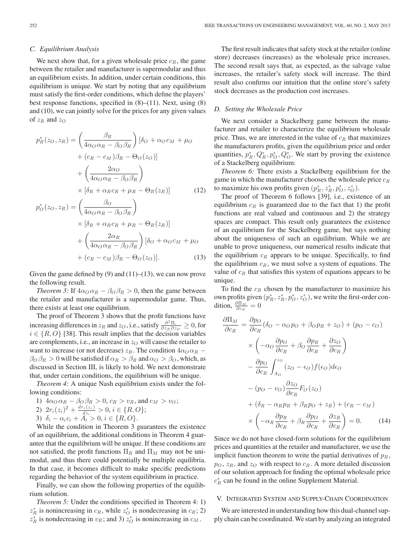## *C. Equilibrium Analysis*

We next show that, for a given wholesale price  $c_R$ , the game between the retailer and manufacturer is supermodular and thus an equilibrium exists. In addition, under certain conditions, this equilibrium is unique. We start by noting that any equilibrium must satisfy the first-order conditions, which define the players' best response functions, specified in  $(8)$ – $(11)$ . Next, using  $(8)$ and (10), we can jointly solve for the prices for any given values of  $z_R$  and  $z_O$ 

$$
p_R^*(z_O, z_R) = \left(\frac{\beta_R}{4\alpha_O \alpha_R - \beta_O \beta_R}\right) [\delta_O + \alpha_O c_M + \mu_O + (c_R - c_M)\beta_R - \Theta_O(z_O)] + \left(\frac{2\alpha_O}{4\alpha_O \alpha_R - \beta_O \beta_R}\right) \times [\delta_R + \alpha_R c_R + \mu_R - \Theta_R(z_R)]
$$
(12)

$$
p_O^*(z_O, z_R) = \left(\frac{\beta_O}{4\alpha_O \alpha_R - \beta_O \beta_R}\right)
$$
  
 
$$
\times [\delta_R + \alpha_R c_R + \mu_R - \Theta_R(z_R)]
$$
  
 
$$
+ \left(\frac{2\alpha_R}{4\alpha_O \alpha_R - \beta_O \beta_R}\right) [\delta_O + \alpha_O c_M + \mu_O
$$
  
 
$$
+ (c_R - c_M)\beta_R - \Theta_O(z_O)]. \tag{13}
$$

Given the game defined by  $(9)$  and  $(11)$ – $(13)$ , we can now prove the following result.

*Theorem 3:* If  $4\alpha_O \alpha_R - \beta_O \beta_R > 0$ , then the game between the retailer and manufacturer is a supermodular game. Thus, there exists at least one equilibrium.

The proof of Theorem 3 shows that the profit functions have increasing differences in  $z_R$  and  $z_O$ , i.e., satisfy  $\frac{\partial^2 \Pi_i}{\partial z_R \partial z_O} \geq 0$ , for  $i \in \{R, O\}$  [38]. This result implies that the decision variables are complements, i.e., an increase in  $z<sub>O</sub>$  will cause the retailer to want to increase (or not decrease)  $z_R$ . The condition  $4\alpha_O \alpha_R$  –  $\beta_O \beta_R > 0$  will be satisfied if  $\alpha_R > \beta_R$  and  $\alpha_O > \beta_O$ , which, as discussed in Section III, is likely to hold. We next demonstrate that, under certain conditions, the equilibrium will be unique.

*Theorem 4:* A unique Nash equilibrium exists under the following conditions:

1)  $4\alpha_O \alpha_R - \beta_O \beta_R > 0$ ,  $c_R > v_R$ , and  $c_M > v_O$ ; 2)  $2r_i(z_i)^2 + \frac{dr_i(z_i)}{dz_i} > 0, i \in \{R, O\};$ 3)  $\delta_i - \alpha_i c_i + A_i > 0, i \in \{R, O\}.$ 

While the condition in Theorem 3 guarantees the existence of an equilibrium, the additional conditions in Theorem 4 guarantee that the equilibrium will be unique. If these conditions are not satisfied, the profit functions  $\Pi_R$  and  $\Pi_M$  may not be unimodal, and thus there could potentially be multiple equilibria. In that case, it becomes difficult to make specific predictions regarding the behavior of the system equilibrium in practice.

Finally, we can show the following properties of the equilibrium solution.

*Theorem 5:* Under the conditions specified in Theorem 4: 1)  $z_R^*$  is nonincreasing in  $c_R$ , while  $z_O^*$  is nondecreasing in  $c_R$ ; 2)  $z_R^*$  is nondecreasing in  $v_R$ ; and 3)  $z_O^*$  is nonincreasing in  $c_M$ .

The first result indicates that safety stock at the retailer (online store) decreases (increases) as the wholesale price increases. The second result says that, as expected, as the salvage value increases, the retailer's safety stock will increase. The third result also confirms our intuition that the online store's safety stock decreases as the production cost increases.

### *D. Setting the Wholesale Price*

We next consider a Stackelberg game between the manufacturer and retailer to characterize the equilibrium wholesale price. Thus, we are interested in the value of  $c_R$  that maximizes the manufacturers profits, given the equilibrium price and order quantities,  $p_R^*, Q_R^*, p_O^*, Q_O^*$ . We start by proving the existence of a Stackelberg equilibrium:

*Theorem 6:* There exists a Stackelberg equilibrium for the game in which the manufacturer chooses the wholesale price  $c_R$ to maximize his own profits given  $(p_R^*, z_R^*, p_O^*, z_O^*)$ .

The proof of Theorem 6 follows [39], i.e., existence of an equilibrium  $c_R$  is guaranteed due to the fact that 1) the profit functions are real valued and continuous and 2) the strategy spaces are compact. This result only guarantees the existence of an equilibrium for the Stackelberg game, but says nothing about the uniqueness of such an equilibrium. While we are unable to prove uniqueness, our numerical results indicate that the equilibrium  $c_R$  appears to be unique. Specifically, to find the equilibrium  $c_R$ , we must solve a system of equations. The value of  $c_R$  that satisfies this system of equations appears to be unique.

To find the  $c_R$  chosen by the manufacturer to maximize his own profits given  $(p_R^*, z_R^*, p_O^*, z_O^*)$ , we write the first-order condition,  $\frac{\partial \Pi_M}{\partial c_R} = 0$ 

$$
\frac{\partial \Pi_M}{\partial c_R} = \frac{\partial p_O}{\partial c_R} (\delta_O - \alpha_O p_O + \beta_O p_R + z_O) + (p_O - c_O)
$$

$$
\times \left( -\alpha_O \frac{\partial p_O}{\partial c_R} + \beta_O \frac{\partial p_R}{\partial c_R} + \frac{\partial z_O}{\partial c_R} \right)
$$

$$
- \frac{\partial p_O}{\partial c_R} \int_{A_O}^{z_O} (z_O - \epsilon_O) f(\epsilon_O) d\epsilon_O
$$

$$
- (p_O - v_O) \frac{\partial z_O}{\partial c_R} F_O(z_O)
$$

$$
+ (\delta_R - \alpha_R p_R + \beta_R p_O + z_R) + (c_R - c_M)
$$

$$
\times \left( -\alpha_R \frac{\partial p_R}{\partial c_R} + \beta_R \frac{\partial p_O}{\partial c_R} + \frac{\partial z_R}{\partial c_R} \right) = 0.
$$
(14)

Since we do not have closed-form solutions for the equilibrium prices and quantities at the retailer and manufacturer, we use the implicit function theorem to write the partial derivatives of  $p_R$ ,  $p_O$ ,  $z_R$ , and  $z_O$  with respect to  $c_R$ . A more detailed discussion of our solution approach for finding the optimal wholesale price  $c_R^*$  can be found in the online Supplement Material.

# V. INTEGRATED SYSTEM AND SUPPLY-CHAIN COORDINATION

We are interested in understanding how this dual-channel supply chain can be coordinated. We start by analyzing an integrated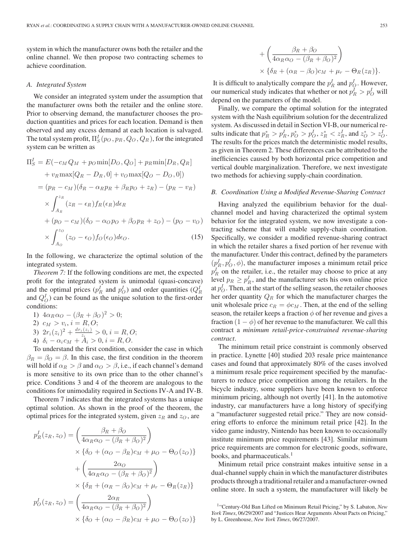system in which the manufacturer owns both the retailer and the online channel. We then propose two contracting schemes to achieve coordination.

#### *A. Integrated System*

We consider an integrated system under the assumption that the manufacturer owns both the retailer and the online store. Prior to observing demand, the manufacturer chooses the production quantities and prices for each location. Demand is then observed and any excess demand at each location is salvaged. The total system profit,  $\Pi_S^I(p_O, p_R, Q_O, Q_R)$ , for the integrated system can be written as

$$
\Pi_S^I = E(-c_M Q_M + p_O \min[D_O, Q_O] + p_R \min[D_R, Q_R]
$$
  
+  $v_R \max[Q_R - D_R, 0] + v_O \max[Q_O - D_O, 0])$   
=  $(p_R - c_M)(\delta_R - \alpha_R p_R + \beta_R p_O + z_R) - (p_R - v_R)$   
 $\times \int_{A_R}^{z_R} (z_R - \epsilon_R) f_R(\epsilon_R) d\epsilon_R$   
+  $(p_O - c_M)(\delta_O - \alpha_O p_O + \beta_O p_R + z_O) - (p_O - v_O)$   
 $\times \int_{A_O}^{z_O} (z_O - \epsilon_O) f_O(\epsilon_O) d\epsilon_O.$  (15)

In the following, we characterize the optimal solution of the integrated system.

*Theorem 7:* If the following conditions are met, the expected profit for the integrated system is unimodal (quasi-concave) and the optimal prices  $(p_R^I \text{ and } p_O^I)$  and order quantities  $(Q_R^I \text{)}$ and  $Q_O^I$ ) can be found as the unique solution to the first-order conditions:

1)  $4\alpha_R \alpha_O - (\beta_R + \beta_O)^2 > 0;$ 

2) 
$$
c_M > v_i, i = R, O;
$$

3) 
$$
2r_i(z_i)^2 + \frac{dr_i(z_i)}{z_i} > 0, i = R, O;
$$

4)  $\delta_i - \alpha_i c_M + A_i > 0, i = R, O.$ 

To understand the first condition, consider the case in which  $\beta_R = \beta_O = \beta$ . In this case, the first condition in the theorem will hold if  $\alpha_R > \beta$  and  $\alpha_Q > \beta$ , i.e., if each channel's demand is more sensitive to its own price than to the other channel's price. Conditions 3 and 4 of the theorem are analogous to the conditions for unimodality required in Sections IV-A and IV-B.

Theorem 7 indicates that the integrated systems has a unique optimal solution. As shown in the proof of the theorem, the optimal prices for the integrated system, given  $z_R$  and  $z_O$ , are

$$
p_R^I(z_R, z_O) = \left(\frac{\beta_R + \beta_O}{4\alpha_R\alpha_O - (\beta_R + \beta_O)^2}\right)
$$
  

$$
\times {\delta_O + (\alpha_O - \beta_R)c_M + \mu_O - \Theta_O(z_O)}
$$
  

$$
+ \left(\frac{2\alpha_O}{4\alpha_R\alpha_O - (\beta_R + \beta_O)^2}\right)
$$
  

$$
\times {\delta_R + (\alpha_R - \beta_O)c_M + \mu_r - \Theta_R(z_R)}
$$
  

$$
p_O^I(z_R, z_O) = \left(\frac{2\alpha_R}{4\alpha_R\alpha_O - (\beta_R + \beta_O)^2}\right)
$$
  

$$
\times {\delta_O + (\alpha_O - \beta_R)c_M + \mu_O - \Theta_O(z_O)}
$$

+ 
$$
\left(\frac{\beta_R + \beta_O}{4\alpha_R\alpha_O - (\beta_R + \beta_O)^2}\right)
$$
  
×  $\{\delta_R + (\alpha_R - \beta_O)c_M + \mu_r - \Theta_R(z_R)\}.$ 

It is difficult to analytically compare the  $p_R^I$  and  $p_Q^I$ . However, our numerical study indicates that whether or not  $p_R^I > p_O^I$  will depend on the parameters of the model.

Finally, we compare the optimal solution for the integrated system with the Nash equilibrium solution for the decentralized system. As discussed in detail in Section VI-B, our numerical results indicate that  $p_R^* > p_R^I$ ,  $p_O^* > p_O^I$ ,  $z_R^* < z_R^I$ , and  $z_O^* > z_O^I$ . The results for the prices match the deterministic model results, as given in Theorem 2. These differences can be attributed to the inefficiencies caused by both horizontal price competition and vertical double marginalization. Therefore, we next investigate two methods for achieving supply-chain coordination.

# *B. Coordination Using a Modified Revenue-Sharing Contract*

Having analyzed the equilibrium behavior for the dualchannel model and having characterized the optimal system behavior for the integrated system, we now investigate a contracting scheme that will enable supply-chain coordination. Specifically, we consider a modified revenue-sharing contract in which the retailer shares a fixed portion of her revenue with the manufacturer. Under this contract, defined by the parameters  $(p_R^I, p_O^I, \phi)$ , the manufacturer imposes a minimum retail price  $p_R^I$  on the retailer, i.e., the retailer may choose to price at any level  $p_R \geq p_R^I$ , and the manufacturer sets his own online price at  $p_O^I$  . Then, at the start of the selling season, the retailer chooses her order quantity  $Q_R$  for which the manufacturer charges the unit wholesale price  $c_R = \phi c_M$ . Then, at the end of the selling season, the retailer keeps a fraction  $\phi$  of her revenue and gives a fraction  $(1 - \phi)$  of her revenue to the manufacturer. We call this contract a *minimum retail-price-constrained revenue-sharing contract*.

The minimum retail price constraint is commonly observed in practice. Lynette [40] studied 203 resale price maintenance cases and found that approximately 80% of the cases involved a minimum resale price requirement specified by the manufacturers to reduce price competition among the retailers. In the bicycle industry, some suppliers have been known to enforce minimum pricing, although not overtly [41]. In the automotive industry, car manufacturers have a long history of specifying a "manufacturer suggested retail price." They are now considering efforts to enforce the minimum retail price [42]. In the video game industry, Nintendo has been known to occasionally institute minimum price requirements [43]. Similar minimum price requirements are common for electronic goods, software, books, and pharmaceuticals.<sup>1</sup>

Minimum retail price constraint makes intuitive sense in a dual-channel supply chain in which the manufacturer distributes products through a traditional retailer and a manufacturer-owned online store. In such a system, the manufacturer will likely be

<sup>1&</sup>quot;Century-Old Ban Lifted on Minimum Retail Pricing," by S. Labaton, *New York Times*, 06/29/2007 and "Justices Hear Arguments About Pacts on Pricing," by L. Greenhouse, *New York Times*, 06/27/2007.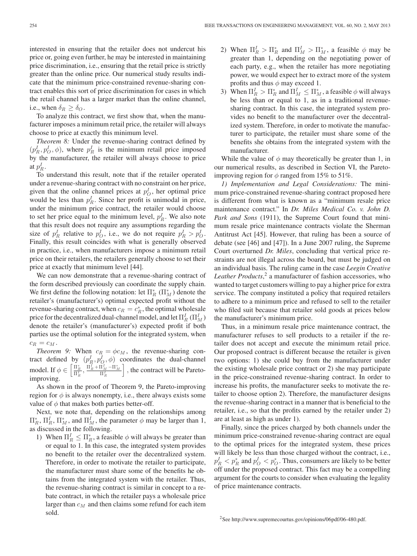interested in ensuring that the retailer does not undercut his price or, going even further, he may be interested in maintaining price discrimination, i.e., ensuring that the retail price is strictly greater than the online price. Our numerical study results indicate that the minimum price-constrained revenue-sharing contract enables this sort of price discrimination for cases in which the retail channel has a larger market than the online channel, i.e., when  $\delta_R \geq \delta_O$ .

To analyze this contract, we first show that, when the manufacturer imposes a minimum retail price, the retailer will always choose to price at exactly this minimum level.

*Theorem 8:* Under the revenue-sharing contract defined by  $(p_R^I, p_O^I, \phi)$ , where  $p_R^I$  is the minimum retail price imposed by the manufacturer, the retailer will always choose to price at  $p_R^I$ .

To understand this result, note that if the retailer operated under a revenue-sharing contract with no constraint on her price, given that the online channel prices at  $p_O^I$ , her optimal price would be less than  $p_R^I$ . Since her profit is unimodal in price, under the minimum price contract, the retailer would choose to set her price equal to the minimum level,  $p_R^I$ . We also note that this result does not require any assumptions regarding the size of  $p_R^I$  relative to  $p_O^I$ , i.e., we do not require  $p_R^I > p_O^I$ . Finally, this result coincides with what is generally observed in practice, i.e., when manufacturers impose a minimum retail price on their retailers, the retailers generally choose to set their price at exactly that minimum level [44].

We can now demonstrate that a revenue-sharing contract of the form described previously can coordinate the supply chain. We first define the following notation: let  $\Pi_R^*$  ( $\Pi_M^*$ ) denote the retailer's (manufacturer's) optimal expected profit without the revenue-sharing contract, when  $c_R = c_R^*$ , the optimal wholesale price for the decentralized dual-channel model, and let  $\Pi^I_R\,(\Pi^I_M)$ denote the retailer's (manufacturer's) expected profit if both parties use the optimal solution for the integrated system, when  $c_R = c_M$ .

*Theorem 9:* When  $c_R = \phi c_M$ , the revenue-sharing contract defined by  $(p_R^I, p_O^I, \phi)$  coordinates the dual-channel model. If  $\phi \in \left[\frac{\Pi_R^*}{\Pi_R^I}, \frac{\Pi_R^I + \Pi_M^I - \Pi_M^*}{\Pi_R^I}\right]$ , the contract will be Paretoimproving.

As shown in the proof of Theorem 9, the Pareto-improving region for  $\phi$  is always nonempty, i.e., there always exists some value of  $\phi$  that makes both parties better-off.

Next, we note that, depending on the relationships among  $\Pi_R^*, \Pi_R^I, \Pi_M^*,$  and  $\Pi_M^I$ , the parameter  $\phi$  may be larger than 1, as discussed in the following.

1) When  $\Pi_R^I \leq \Pi_R^*$ , a feasible  $\phi$  will always be greater than or equal to 1. In this case, the integrated system provides no benefit to the retailer over the decentralized system. Therefore, in order to motivate the retailer to participate, the manufacturer must share some of the benefits he obtains from the integrated system with the retailer. Thus, the revenue-sharing contract is similar in concept to a rebate contract, in which the retailer pays a wholesale price larger than  $c_M$  and then claims some refund for each item sold.

- 2) When  $\Pi_R^I > \Pi_R^*$  and  $\Pi_M^I > \Pi_M^*$ , a feasible  $\phi$  may be greater than 1, depending on the negotiating power of each party, e.g., when the retailer has more negotiating power, we would expect her to extract more of the system profits and thus  $\phi$  may exceed 1.
- 3) When  $\Pi_R^I > \Pi_R^*$  and  $\Pi_M^I \leq \Pi_M^*$ , a feasible  $\phi$  will always be less than or equal to 1, as in a traditional revenuesharing contract. In this case, the integrated system provides no benefit to the manufacturer over the decentralized system. Therefore, in order to motivate the manufacturer to participate, the retailer must share some of the benefits she obtains from the integrated system with the manufacturer.

While the value of  $\phi$  may theoretically be greater than 1, in our numerical results, as described in Section VI, the Paretoimproving region for  $\phi$  ranged from 15% to 51%.

*1) Implementation and Legal Considerations:* The minimum price-constrained revenue-sharing contract proposed here is different from what is known as a "minimum resale price maintenance contract." In *Dr. Miles Medical Co. v. John D. Park and Sons* (1911), the Supreme Court found that minimum resale price maintenance contracts violate the Sherman Antitrust Act [45]. However, that ruling has been a source of debate (see [46] and [47]). In a June 2007 ruling, the Supreme Court overturned *Dr. Miles*, concluding that vertical price restraints are not illegal across the board, but must be judged on an individual basis. The ruling came in the case *Leegin Creative Leather Products*, <sup>2</sup> a manufacturer of fashion accessories, who wanted to target customers willing to pay a higher price for extra service. The company instituted a policy that required retailers to adhere to a minimum price and refused to sell to the retailer who filed suit because that retailer sold goods at prices below the manufacturer's minimum price.

Thus, in a minimum resale price maintenance contract, the manufacturer refuses to sell products to a retailer if the retailer does not accept and execute the minimum retail price. Our proposed contract is different because the retailer is given two options: 1) she could buy from the manufacturer under the existing wholesale price contract or 2) she may participate in the price-constrained revenue-sharing contract. In order to increase his profits, the manufacturer seeks to motivate the retailer to choose option 2). Therefore, the manufacturer designs the revenue-sharing contract in a manner that is beneficial to the retailer, i.e., so that the profits earned by the retailer under 2) are at least as high as under 1).

Finally, since the prices charged by both channels under the minimum price-constrained revenue-sharing contract are equal to the optimal prices for the integrated system, these prices will likely be less than those charged without the contract, i.e.,  $p_R^I < p_R^*$  and  $p_O^I < p_O^*$ . Thus, consumers are likely to be better off under the proposed contract. This fact may be a compelling argument for the courts to consider when evaluating the legality of price maintenance contracts.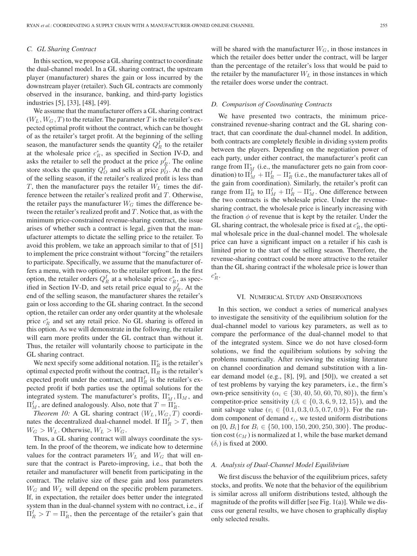#### *C. GL Sharing Contract*

In this section, we propose a GL sharing contract to coordinate the dual-channel model. In a GL sharing contract, the upstream player (manufacturer) shares the gain or loss incurred by the downstream player (retailer). Such GL contracts are commonly observed in the insurance, banking, and third-party logistics industries [5], [33], [48], [49].

We assume that the manufacturer offers a GL sharing contract  $(W_L, W_G, T)$  to the retailer. The parameter T is the retailer's expected optimal profit without the contract, which can be thought of as the retailer's target profit. At the beginning of the selling season, the manufacturer sends the quantity  $Q_R^I$  to the retailer at the wholesale price  $c_R^*$ , as specified in Section IV-D, and asks the retailer to sell the product at the price  $p_R^I$ . The online store stocks the quantity  $Q_O^I$  and sells at price  $p_O^I$ . At the end of the selling season, if the retailer's realized profit is less than T, then the manufacturer pays the retailer  $W_L$  times the difference between the retailer's realized profit and T. Otherwise, the retailer pays the manufacturer  $W_G$  times the difference between the retailer's realized profit and  $T$ . Notice that, as with the minimum price-constrained revenue-sharing contract, the issue arises of whether such a contract is legal, given that the manufacturer attempts to dictate the selling price to the retailer. To avoid this problem, we take an approach similar to that of [51] to implement the price constraint without "forcing" the retailers to participate. Specifically, we assume that the manufacturer offers a menu, with two options, to the retailer upfront. In the first option, the retailer orders  $Q_R^I$  at a wholesale price  $c_{R_2}^*$  as specified in Section IV-D, and sets retail price equal to  $p_R^I$ . At the end of the selling season, the manufacturer shares the retailer's gain or loss according to the GL sharing contract. In the second option, the retailer can order any order quantity at the wholesale price  $c_R^*$  and set any retail price. No GL sharing is offered in this option. As we will demonstrate in the following, the retailer will earn more profits under the GL contract than without it. Thus, the retailer will voluntarily choose to participate in the GL sharing contract.

We next specify some additional notation.  $\Pi_R^*$  is the retailer's optimal expected profit without the contract,  $\Pi_R$  is the retailer's expected profit under the contract, and  $\Pi_R^I$  is the retailer's expected profit if both parties use the optimal solutions for the integrated system. The manufacturer's profits,  $\Pi_M^*$ ,  $\Pi_M$ , and  $\Pi_M^I$ , are defined analogously. Also, note that  $T = \Pi_R^*$ .

*Theorem 10:* A GL sharing contract  $(W_L, W_G, T)$  coordinates the decentralized dual-channel model. If  $\Pi_R^I > T$ , then  $W_G > W_L$ . Otherwise,  $W_L > W_G$ .

Thus, a GL sharing contract will always coordinate the system. In the proof of the theorem, we indicate how to determine values for the contract parameters  $W_L$  and  $W_G$  that will ensure that the contract is Pareto-improving, i.e., that both the retailer and manufacturer will benefit from participating in the contract. The relative size of these gain and loss parameters  $W_G$  and  $W_L$  will depend on the specific problem parameters. If, in expectation, the retailer does better under the integrated system than in the dual-channel system with no contract, i.e., if  $\Pi_R^I > T = \Pi_R^*$ , then the percentage of the retailer's gain that

will be shared with the manufacturer  $W_G$ , in those instances in which the retailer does better under the contract, will be larger than the percentage of the retailer's loss that would be paid to the retailer by the manufacturer  $W_L$  in those instances in which the retailer does worse under the contract.

# *D. Comparison of Coordinating Contracts*

We have presented two contracts, the minimum priceconstrained revenue-sharing contract and the GL sharing contract, that can coordinate the dual-channel model. In addition, both contracts are completely flexible in dividing system profits between the players. Depending on the negotiation power of each party, under either contract, the manufacturer's profit can range from  $\Pi_M^*$  (i.e., the manufacturer gets no gain from coordination) to  $\Pi_M^I + \Pi_R^I - \Pi_R^*$  (i.e., the manufacturer takes all of the gain from coordination). Similarly, the retailer's profit can range from  $\Pi_R^*$  to  $\Pi_M^I + \Pi_R^I - \Pi_M^*$ . One difference between the two contracts is the wholesale price. Under the revenuesharing contract, the wholesale price is linearly increasing with the fraction  $\phi$  of revenue that is kept by the retailer. Under the GL sharing contract, the wholesale price is fixed at  $c_R^*$ , the optimal wholesale price in the dual-channel model. The wholesale price can have a significant impact on a retailer if his cash is limited prior to the start of the selling season. Therefore, the revenue-sharing contract could be more attractive to the retailer than the GL sharing contract if the wholesale price is lower than  $c_R^*$ .

# VI. NUMERICAL STUDY AND OBSERVATIONS

In this section, we conduct a series of numerical analyses to investigate the sensitivity of the equilibrium solution for the dual-channel model to various key parameters, as well as to compare the performance of the dual-channel model to that of the integrated system. Since we do not have closed-form solutions, we find the equilibrium solutions by solving the problems numerically. After reviewing the existing literature on channel coordination and demand substitution with a linear demand model (e.g., [8], [9], and [50]), we created a set of test problems by varying the key parameters, i.e., the firm's own-price sensitivity ( $\alpha_i \in \{30, 40, 50, 60, 70, 80\}$ ), the firm's competitor-price sensitivity ( $\beta_i \in \{0, 3, 6, 9, 12, 15\}$ ), and the unit salvage value ( $v_i \in \{0.1, 0.3, 0.5, 0.7, 0.9\}$ ). For the random component of demand  $\epsilon_i$ , we tested uniform distributions on [0,  $B_i$ ] for  $B_i \in \{50, 100, 150, 200, 250, 300\}$ . The production cost  $(c_M)$  is normalized at 1, while the base market demand  $(\delta_i)$  is fixed at 2000.

#### *A. Analysis of Dual-Channel Model Equilibrium*

We first discuss the behavior of the equilibrium prices, safety stocks, and profits. We note that the behavior of the equilibrium is similar across all uniform distributions tested, although the magnitude of the profits will differ [see Fig. 1(a)]. While we discuss our general results, we have chosen to graphically display only selected results.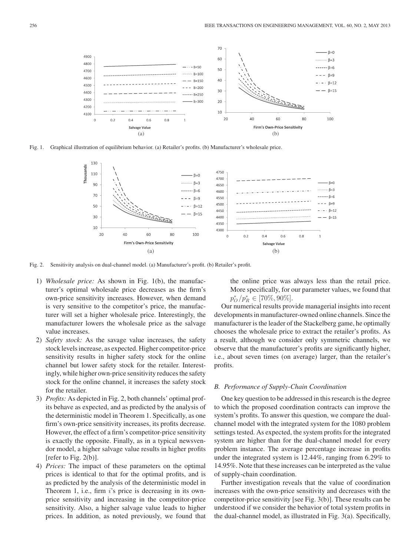

Fig. 1. Graphical illustration of equilibrium behavior. (a) Retailer's profits. (b) Manufacturer's wholesale price.



Fig. 2. Sensitivity analysis on dual-channel model. (a) Manufacturer's profit. (b) Retailer's profit.

- 1) *Wholesale price:* As shown in Fig. 1(b), the manufacturer's optimal wholesale price decreases as the firm's own-price sensitivity increases. However, when demand is very sensitive to the competitor's price, the manufacturer will set a higher wholesale price. Interestingly, the manufacturer lowers the wholesale price as the salvage value increases.
- 2) *Safety stock:* As the savage value increases, the safety stock levels increase, as expected. Higher competitor-price sensitivity results in higher safety stock for the online channel but lower safety stock for the retailer. Interestingly, while higher own-price sensitivity reduces the safety stock for the online channel, it increases the safety stock for the retailer.
- 3) *Profits:* As depicted in Fig. 2, both channels' optimal profits behave as expected, and as predicted by the analysis of the deterministic model in Theorem 1. Specifically, as one firm's own-price sensitivity increases, its profits decrease. However, the effect of a firm's competitor-price sensitivity is exactly the opposite. Finally, as in a typical newsvendor model, a higher salvage value results in higher profits [refer to Fig.  $2(b)$ ].
- 4) *Prices:* The impact of these parameters on the optimal prices is identical to that for the optimal profits, and is as predicted by the analysis of the deterministic model in Theorem 1, i.e., firm i's price is decreasing in its ownprice sensitivity and increasing in the competitor-price sensitivity. Also, a higher salvage value leads to higher prices. In addition, as noted previously, we found that

the online price was always less than the retail price. More specifically, for our parameter values, we found that  $p_O^*/p_R^* \in [70\%, 90\%].$ 

Our numerical results provide managerial insights into recent developments in manufacturer-owned online channels. Since the manufacturer is the leader of the Stackelberg game, he optimally chooses the wholesale price to extract the retailer's profits. As a result, although we consider only symmetric channels, we observe that the manufacturer's profits are significantly higher, i.e., about seven times (on average) larger, than the retailer's profits.

#### *B. Performance of Supply-Chain Coordination*

One key question to be addressed in this research is the degree to which the proposed coordination contracts can improve the system's profits. To answer this question, we compare the dualchannel model with the integrated system for the 1080 problem settings tested. As expected, the system profits for the integrated system are higher than for the dual-channel model for every problem instance. The average percentage increase in profits under the integrated system is 12.44%, ranging from 6.29% to 14.95%. Note that these increases can be interpreted as the value of supply-chain coordination.

Further investigation reveals that the value of coordination increases with the own-price sensitivity and decreases with the competitor-price sensitivity [see Fig. 3(b)]. These results can be understood if we consider the behavior of total system profits in the dual-channel model, as illustrated in Fig. 3(a). Specifically,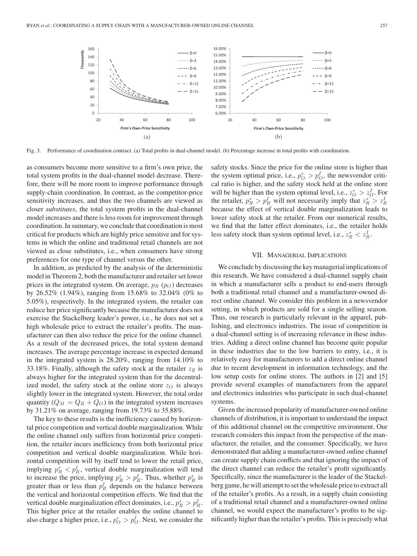

Fig. 3. Performance of coordination contract. (a) Total profits in dual-channel model. (b) Percentage increase in total profits with coordination.

as consumers become more sensitive to a firm's own price, the total system profits in the dual-channel model decrease. Therefore, there will be more room to improve performance through supply-chain coordination. In contrast, as the competitor-price sensitivity increases, and thus the two channels are viewed as closer *substitutes*, the total system profits in the dual-channel model increases and there is less room for improvement through coordination. In summary, we conclude that coordination is most critical for products which are highly price sensitive and for systems in which the online and traditional retail channels are not viewed as close substitutes, i.e., when consumers have strong preferences for one type of channel versus the other.

In addition, as predicted by the analysis of the deterministic model in Theorem 2, both the manufacturer and retailer set lower prices in the integrated system. On average,  $p_R(p_O)$  decreases by 26.52% (1.94%), ranging from 15.68% to 32.04% (0% to 5.05%), respectively. In the integrated system, the retailer can reduce her price significantly because the manufacturer does not exercise the Stackelberg leader's power, i.e., he does not set a high wholesale price to extract the retailer's profits. The manufacturer can then also reduce the price for the online channel. As a result of the decreased prices, the total system demand increases. The average percentage increase in expected demand in the integrated system is 28.20%, ranging from 14.10% to 33.18%. Finally, although the safety stock at the retailer  $z_R$  is always higher for the integrated system than for the decentralized model, the safety stock at the online store  $z<sub>O</sub>$  is always slightly lower in the integrated system. However, the total order quantity ( $Q_M = Q_R + Q_O$ ) in the integrated system increases by 31.21% on average, ranging from 19.73% to 35.88%.

The key to these results is the inefficiency caused by horizontal price competition and vertical double marginalization. While the online channel only suffers from horizontal price competition, the retailer incurs inefficiency from both horizontal price competition and vertical double marginalization. While horizontal competition will by itself tend to lower the retail price, implying  $p_R^* < p_R^I$ , vertical double marginalization will tend to increase the price, implying  $p_R^* > p_R^I$ . Thus, whether  $p_R^*$  is greater than or less than  $p_R^I$  depends on the balance between the vertical and horizontal competition effects. We find that the vertical double marginalization effect dominates, i.e.,  $p_R^* > p_R^I$ . This higher price at the retailer enables the online channel to also charge a higher price, i.e.,  $p_O^* > p_O^I$ . Next, we consider the

safety stocks. Since the price for the online store is higher than the system optimal price, i.e.,  $p_O^* > p_O^I$ , the newsvendor critical ratio is higher, and the safety stock held at the online store will be higher than the system optimal level, i.e.,  $z_0^* > z_0^I$ . For the retailer,  $p_R^* > p_R^I$  will not necessarily imply that  $z_R^* > z_R^I$ because the effect of vertical double marginalization leads to lower safety stock at the retailer. From our numerical results, we find that the latter effect dominates, i.e., the retailer holds less safety stock than system optimal level, i.e.,  $z_R^* < z_R^I$ .

#### VII. MANAGERIAL IMPLICATIONS

We conclude by discussing the key managerial implications of this research. We have considered a dual-channel supply chain in which a manufacturer sells a product to end-users through both a traditional retail channel and a manufacturer-owned direct online channel. We consider this problem in a newsvendor setting, in which products are sold for a single selling season. Thus, our research is particularly relevant in the apparel, publishing, and electronics industries. The issue of competition in a dual-channel setting is of increasing relevance in these industries. Adding a direct online channel has become quite popular in these industries due to the low barriers to entry, i.e., it is relatively easy for manufacturers to add a direct online channel due to recent development in information technology, and the low setup costs for online stores. The authors in [2] and [5] provide several examples of manufacturers from the apparel and electronics industries who participate in such dual-channel systems.

Given the increased popularity of manufacturer-owned online channels of distribution, it is important to understand the impact of this additional channel on the competitive environment. Our research considers this impact from the perspective of the manufacturer, the retailer, and the consumer. Specifically, we have demonstrated that adding a manufacturer-owned online channel can create supply chain conflicts and that ignoring the impact of the direct channel can reduce the retailer's profit significantly. Specifically, since the manufacturer is the leader of the Stackelberg game, he will attempt to set the wholesale price to extract all of the retailer's profits. As a result, in a supply chain consisting of a traditional retail channel and a manufacturer-owned online channel, we would expect the manufacturer's profits to be significantly higher than the retailer's profits. This is precisely what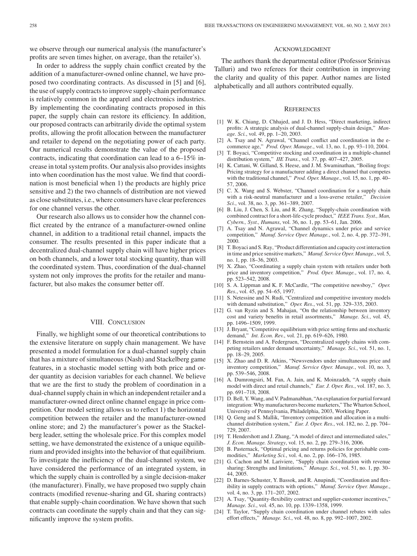we observe through our numerical analysis (the manufacturer's profits are seven times higher, on average, than the retailer's).

In order to address the supply chain conflict created by the addition of a manufacturer-owned online channel, we have proposed two coordinating contracts. As discussed in [5] and [6], the use of supply contracts to improve supply-chain performance is relatively common in the apparel and electronics industries. By implementing the coordinating contracts proposed in this paper, the supply chain can restore its efficiency. In addition, our proposed contracts can arbitrarily divide the optimal system profits, allowing the profit allocation between the manufacturer and retailer to depend on the negotiating power of each party. Our numerical results demonstrate the value of the proposed contracts, indicating that coordination can lead to a 6–15% increase in total system profits. Our analysis also provides insights into when coordination has the most value. We find that coordination is most beneficial when 1) the products are highly price sensitive and 2) the two channels of distribution are not viewed as close substitutes, i.e., where consumers have clear preferences for one channel versus the other.

Our research also allows us to consider how the channel conflict created by the entrance of a manufacturer-owned online channel, in addition to a traditional retail channel, impacts the consumer. The results presented in this paper indicate that a decentralized dual-channel supply chain will have higher prices on both channels, and a lower total stocking quantity, than will the coordinated system. Thus, coordination of the dual-channel system not only improves the profits for the retailer and manufacturer, but also makes the consumer better off.

#### VIII. CONCLUSION

Finally, we highlight some of our theoretical contributions to the extensive literature on supply chain management. We have presented a model formulation for a dual-channel supply chain that has a mixture of simultaneous (Nash) and Stackelberg game features, in a stochastic model setting with both price and order quantity as decision variables for each channel. We believe that we are the first to study the problem of coordination in a dual-channel supply chain in which an independent retailer and a manufacturer-owned direct online channel engage in price competition. Our model setting allows us to reflect 1) the horizontal competition between the retailer and the manufacturer-owned online store; and 2) the manufacturer's power as the Stackelberg leader, setting the wholesale price. For this complex model setting, we have demonstrated the existence of a unique equilibrium and provided insights into the behavior of that equilibrium. To investigate the inefficiency of the dual-channel system, we have considered the performance of an integrated system, in which the supply chain is controlled by a single decision-maker (the manufacturer). Finally, we have proposed two supply chain contracts (modified revenue-sharing and GL sharing contracts) that enable supply-chain coordination. We have shown that such contracts can coordinate the supply chain and that they can significantly improve the system profits.

#### ACKNOWLEDGMENT

The authors thank the departmental editor (Professor Srinivas Talluri) and two referees for their contribution in improving the clarity and quality of this paper. Author names are listed alphabetically and all authors contributed equally.

#### **REFERENCES**

- [1] W. K. Chiang, D. Chhajed, and J. D. Hess, "Direct marketing, indirect profits: A strategic analysis of dual-channel supply-chain design," *Manage. Sci.*, vol. 49, pp. 1–20, 2003.
- [2] A. Tsay and N. Agrawal, "Channel conflict and coordination in the ecommerce age," *Prod. Oper. Manage.*, vol. 13, no. 1, pp. 93–110, 2004.
- [3] T. Boyaci, "Competitive stocking and coordination in a multiple-channel distribution system," *IIE Trans.*, vol. 37, pp. 407–427, 2005.
- [4] K. Cattani, W. Gilland, S. Heese, and J. M. Swaminathan, "Boiling frogs: Pricing strategy for a manufacturer adding a direct channel that competes with the traditional channel," *Prod. Oper. Manage.*, vol. 15, no. 1, pp. 40– 57, 2006.
- [5] C. X. Wang and S. Webster, "Channel coordination for a supply chain with a risk-neutral manufacturer and a loss-averse retailer," *Decision Sci.*, vol. 38, no. 3, pp. 361–389, 2007.
- [6] B. Liu, J. Chen, S. Liu, and R. Zhang, "Supply-chain coordination with combined contract for a short-life-cycle product," *IEEE Trans. Syst., Man, Cybern., Syst., Humans*, vol. 36, no. 1, pp. 53–61, Jan. 2006.
- [7] A. Tsay and N. Agrawal, "Channel dynamics under price and service competition," *Manuf. Service Oper. Manage.*, vol. 2, no. 4, pp. 372–391, 2000.
- [8] T. Boyaci and S. Ray, "Product differentiation and capacity cost interaction in time and price sensitive markets," *Manuf. Service Oper. Manage.*, vol. 5, no. 1, pp. 18–36, 2003.
- [9] X. Zhao, "Coordinating a supply chain system with retailers under both price and inventory competition," *Prod. Oper. Manage.*, vol. 17, no. 4, pp. 523–542, 2008.
- [10] S. A. Lippman and K. F. McCardle, "The competitive newsboy," *Oper. Res.*, vol. 45, pp. 54–65, 1997.
- [11] S. Netessine and N. Rudi, "Centralized and competitive inventory models with demand substitution," *Oper. Res.*, vol. 51, pp. 329–335, 2003.
- [12] G. van Ryzin and S. Mahajan, "On the relationship between inventory cost and variety benefits in retail assortments," *Manage. Sci.*, vol. 45, pp. 1496–1509, 1999.
- [13] J. Bryant, "Competitive equilibrium with price setting firms and stochastic demand," *Int. Econ. Rev.*, vol. 21, pp. 619–626, 1980.
- [14] F. Bernstein and A. Federgruen, "Decentralized supply chains with competing retailers under demand uncertainty," *Manage. Sci.*, vol. 51, no. 1, pp. 18–29, 2005.
- [15] X. Zhao and D. R. Atkins, "Newsvendors under simultaneous price and inventory competition," *Manuf. Service Oper. Manage.*, vol. 10, no. 3, pp. 539–546, 2008.
- [16] A. Dumrongsiri, M. Fan, A. Jain, and K. Moinzadeh, "A supply chain model with direct and retail channels," *Eur. J. Oper. Res.*, vol. 187, no. 3, pp. 691–718, 2008.
- [17]  $\overline{D}$ . Bell, Y. Wang, and V. Padmanabhan, "An explanation for partial forward integration: Why manufacturers become marketers," The Wharton School, University of Pennsylvania, Philadelphia, 2003, Working Paper.
- [18] Q. Geng and S. Mallik, "Inventory competition and allocation in a multichannel distribution system," *Eur. J. Oper. Res.*, vol. 182, no. 2, pp. 704– 729, 2007.
- [19] T. Hendershott and J. Zhang, "A model of direct and intermediated sales," *J. Econ. Manage. Strategy*, vol. 15, no. 2, pp. 279–316, 2006.
- [20] B. Pasternack, "Optimal pricing and returns policies for perishable commodities," *Marketing Sci.*, vol. 4, no. 2, pp. 166–176, 1985.
- [21] G. Cachon and M. Lariviere, "Supply chain coordination with revenue sharing: Strengths and limitations," *Manage. Sci.*, vol. 51, no. 1, pp. 30– 44, 2005.
- [22] D. Barnes-Schuster, Y. Bassok, and R. Anupindi, "Coordination and flexibility in supply contracts with options," *Manuf. Service Oper. Manage.*, vol. 4, no. 3, pp. 171–207, 2002.
- [23] A. Tsay, "Quantity-flexibility contract and supplier-customer incentives," *Manage. Sci.*, vol. 45, no. 10, pp. 1339–1358, 1999.
- [24] T. Taylor, "Supply chain coordination under channel rebates with sales effort effects," *Manage. Sci.*, vol. 48, no. 8, pp. 992–1007, 2002.